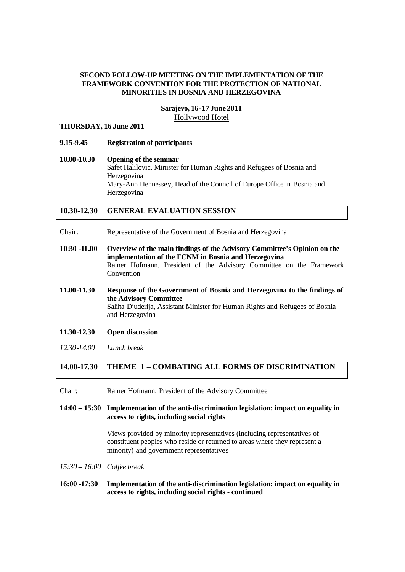### **SECOND FOLLOW-UP MEETING ON THE IMPLEMENTATION OF THE FRAMEWORK CONVENTION FOR THE PROTECTION OF NATIONAL MINORITIES IN BOSNIA AND HERZEGOVINA**

### **Sarajevo, 16-17 June 2011** Hollywood Hotel

### **THURSDAY, 16 June 2011**

- **9.15-9.45 Registration of participants**
- **10.00-10.30 Opening of the seminar**  Safet Halilovic, Minister for Human Rights and Refugees of Bosnia and Herzegovina Mary-Ann Hennessey, Head of the Council of Europe Office in Bosnia and Herzegovina

## **10.30-12.30 GENERAL EVALUATION SESSION**

- Chair: Representative of the Government of Bosnia and Herzegovina
- **10:30 -11.00 Overview of the main findings of the Advisory Committee's Opinion on the implementation of the FCNM in Bosnia and Herzegovina** Rainer Hofmann, President of the Advisory Committee on the Framework Convention
- **11.00-11.30 Response of the Government of Bosnia and Herzegovina to the findings of the Advisory Committee** Saliha Djuderija, Assistant Minister for Human Rights and Refugees of Bosnia and Herzegovina
- **11.30-12.30 Open discussion**
- *12.30-14.00 Lunch break*

## **14.00-17.30 THEME 1 – COMBATING ALL FORMS OF DISCRIMINATION**

Chair: Rainer Hofmann, President of the Advisory Committee

**14:00 – 15:30 Implementation of the anti-discrimination legislation: impact on equality in access to rights, including social rights**

> Views provided by minority representatives (including representatives of constituent peoples who reside or returned to areas where they represent a minority) and government representatives

- *15:30 16:00 Coffee break*
- **16:00 -17:30 Implementation of the anti-discrimination legislation: impact on equality in access to rights, including social rights - continued**